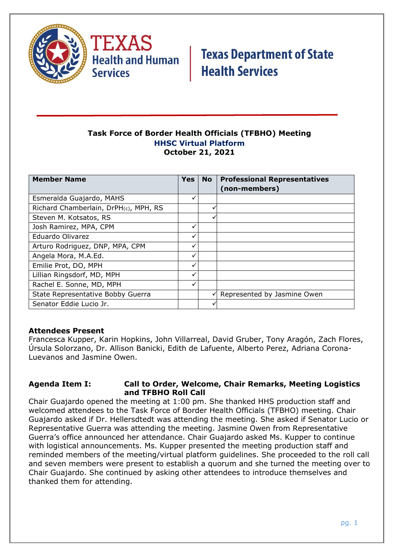

#### **Task Force of Border Health Officials (TFBHO) Meeting HHSC Virtual Platform October 21, 2021**

| <b>Member Name</b>                    | <b>Yes</b> | <b>No</b> | <b>Professional Representatives</b> |
|---------------------------------------|------------|-----------|-------------------------------------|
|                                       |            |           | (non-members)                       |
| Esmeralda Guajardo, MAHS              | ✓          |           |                                     |
| Richard Chamberlain, DrPH(c), MPH, RS |            |           |                                     |
| Steven M. Kotsatos, RS                |            | v         |                                     |
| Josh Ramirez, MPA, CPM                |            |           |                                     |
| Eduardo Olivarez                      | ✓          |           |                                     |
| Arturo Rodriguez, DNP, MPA, CPM       | ✓          |           |                                     |
| Angela Mora, M.A.Ed.                  |            |           |                                     |
| Emilie Prot, DO, MPH                  | ✓          |           |                                     |
| Lillian Ringsdorf, MD, MPH            | ✓          |           |                                     |
| Rachel E. Sonne, MD, MPH              | ✓          |           |                                     |
| State Representative Bobby Guerra     |            | ✓         | Represented by Jasmine Owen         |
| Senator Eddie Lucio Jr.               |            |           |                                     |

### **Attendees Present**

Francesca Kupper, Karin Hopkins, John Villarreal, David Gruber, Tony Aragón, Zach Flores, Úrsula Solorzano, Dr. Allison Banicki, Edith de Lafuente, Alberto Perez, Adriana Corona-Luevanos and Jasmine Owen.

#### **Agenda Item I: Call to Order, Welcome, Chair Remarks, Meeting Logistics and TFBHO Roll Call**

Chair Guajardo opened the meeting at 1:00 pm. She thanked HHS production staff and welcomed attendees to the Task Force of Border Health Officials (TFBHO) meeting. Chair Guajardo asked if Dr. Hellersdtedt was attending the meeting. She asked if Senator Lucio or Representative Guerra was attending the meeting. Jasmine Owen from Representative Guerra's office announced her attendance. Chair Guajardo asked Ms. Kupper to continue with logistical announcements. Ms. Kupper presented the meeting production staff and reminded members of the meeting/virtual platform guidelines. She proceeded to the roll call and seven members were present to establish a quorum and she turned the meeting over to Chair Guajardo. She continued by asking other attendees to introduce themselves and thanked them for attending.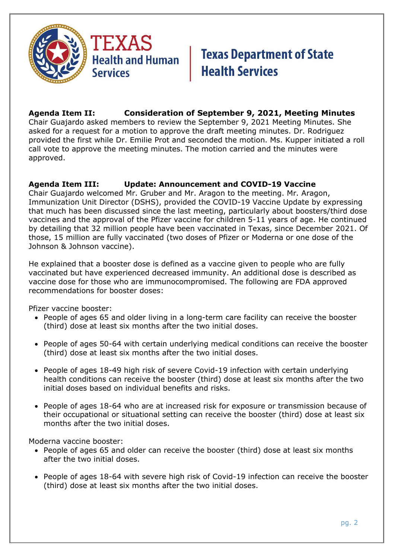

### **Agenda Item II: Consideration of September 9, 2021, Meeting Minutes**

Chair Guajardo asked members to review the September 9, 2021 Meeting Minutes. She asked for a request for a motion to approve the draft meeting minutes. Dr. Rodriguez provided the first while Dr. Emilie Prot and seconded the motion. Ms. Kupper initiated a roll call vote to approve the meeting minutes. The motion carried and the minutes were approved.

### **Agenda Item III: Update: Announcement and COVID-19 Vaccine**

Chair Guajardo welcomed Mr. Gruber and Mr. Aragon to the meeting. Mr. Aragon, Immunization Unit Director (DSHS), provided the COVID-19 Vaccine Update by expressing that much has been discussed since the last meeting, particularly about boosters/third dose vaccines and the approval of the Pfizer vaccine for children 5-11 years of age. He continued by detailing that 32 million people have been vaccinated in Texas, since December 2021. Of those, 15 million are fully vaccinated (two doses of Pfizer or Moderna or one dose of the Johnson & Johnson vaccine).

He explained that a booster dose is defined as a vaccine given to people who are fully vaccinated but have experienced decreased immunity. An additional dose is described as vaccine dose for those who are immunocompromised. The following are FDA approved recommendations for booster doses:

Pfizer vaccine booster:

- People of ages 65 and older living in a long-term care facility can receive the booster (third) dose at least six months after the two initial doses.
- People of ages 50-64 with certain underlying medical conditions can receive the booster (third) dose at least six months after the two initial doses.
- People of ages 18-49 high risk of severe Covid-19 infection with certain underlying health conditions can receive the booster (third) dose at least six months after the two initial doses based on individual benefits and risks.
- People of ages 18-64 who are at increased risk for exposure or transmission because of their occupational or situational setting can receive the booster (third) dose at least six months after the two initial doses.

Moderna vaccine booster:

- People of ages 65 and older can receive the booster (third) dose at least six months after the two initial doses.
- People of ages 18-64 with severe high risk of Covid-19 infection can receive the booster (third) dose at least six months after the two initial doses.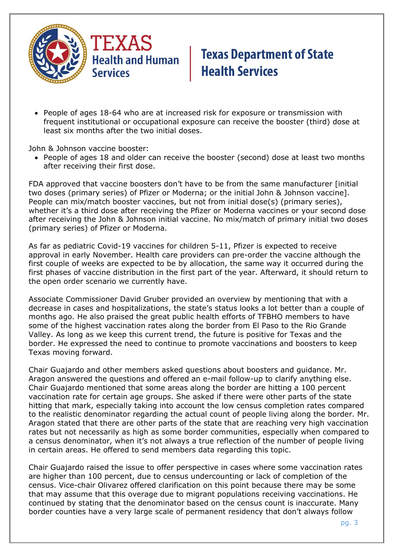

• People of ages 18-64 who are at increased risk for exposure or transmission with frequent institutional or occupational exposure can receive the booster (third) dose at least six months after the two initial doses.

John & Johnson vaccine booster:

• People of ages 18 and older can receive the booster (second) dose at least two months after receiving their first dose.

FDA approved that vaccine boosters don't have to be from the same manufacturer [initial two doses (primary series) of Pfizer or Moderna; or the initial John & Johnson vaccine]. People can mix/match booster vaccines, but not from initial dose(s) (primary series), whether it's a third dose after receiving the Pfizer or Moderna vaccines or your second dose after receiving the John & Johnson initial vaccine. No mix/match of primary initial two doses (primary series) of Pfizer or Moderna.

As far as pediatric Covid-19 vaccines for children 5-11, Pfizer is expected to receive approval in early November. Health care providers can pre-order the vaccine although the first couple of weeks are expected to be by allocation, the same way it occurred during the first phases of vaccine distribution in the first part of the year. Afterward, it should return to the open order scenario we currently have.

Associate Commissioner David Gruber provided an overview by mentioning that with a decrease in cases and hospitalizations, the state's status looks a lot better than a couple of months ago. He also praised the great public health efforts of TFBHO members to have some of the highest vaccination rates along the border from El Paso to the Rio Grande Valley. As long as we keep this current trend, the future is positive for Texas and the border. He expressed the need to continue to promote vaccinations and boosters to keep Texas moving forward.

Chair Guajardo and other members asked questions about boosters and guidance. Mr. Aragon answered the questions and offered an e-mail follow-up to clarify anything else. Chair Guajardo mentioned that some areas along the border are hitting a 100 percent vaccination rate for certain age groups. She asked if there were other parts of the state hitting that mark, especially taking into account the low census completion rates compared to the realistic denominator regarding the actual count of people living along the border. Mr. Aragon stated that there are other parts of the state that are reaching very high vaccination rates but not necessarily as high as some border communities, especially when compared to a census denominator, when it's not always a true reflection of the number of people living in certain areas. He offered to send members data regarding this topic.

Chair Guajardo raised the issue to offer perspective in cases where some vaccination rates are higher than 100 percent, due to census undercounting or lack of completion of the census. Vice-chair Olivarez offered clarification on this point because there may be some that may assume that this overage due to migrant populations receiving vaccinations. He continued by stating that the denominator based on the census count is inaccurate. Many border counties have a very large scale of permanent residency that don't always follow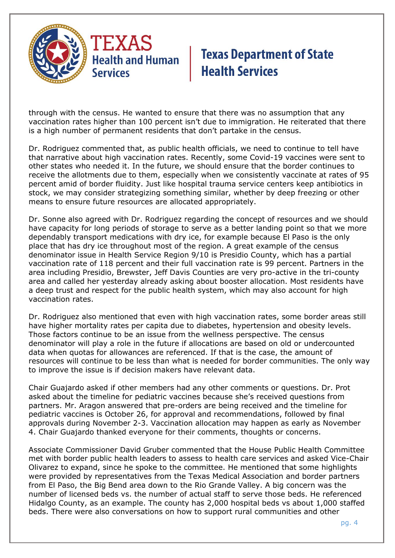

through with the census. He wanted to ensure that there was no assumption that any vaccination rates higher than 100 percent isn't due to immigration. He reiterated that there is a high number of permanent residents that don't partake in the census.

Dr. Rodriguez commented that, as public health officials, we need to continue to tell have that narrative about high vaccination rates. Recently, some Covid-19 vaccines were sent to other states who needed it. In the future, we should ensure that the border continues to receive the allotments due to them, especially when we consistently vaccinate at rates of 95 percent amid of border fluidity. Just like hospital trauma service centers keep antibiotics in stock, we may consider strategizing something similar, whether by deep freezing or other means to ensure future resources are allocated appropriately.

Dr. Sonne also agreed with Dr. Rodriguez regarding the concept of resources and we should have capacity for long periods of storage to serve as a better landing point so that we more dependably transport medications with dry ice, for example because El Paso is the only place that has dry ice throughout most of the region. A great example of the census denominator issue in Health Service Region 9/10 is Presidio County, which has a partial vaccination rate of 118 percent and their full vaccination rate is 99 percent. Partners in the area including Presidio, Brewster, Jeff Davis Counties are very pro-active in the tri-county area and called her yesterday already asking about booster allocation. Most residents have a deep trust and respect for the public health system, which may also account for high vaccination rates.

Dr. Rodriguez also mentioned that even with high vaccination rates, some border areas still have higher mortality rates per capita due to diabetes, hypertension and obesity levels. Those factors continue to be an issue from the wellness perspective. The census denominator will play a role in the future if allocations are based on old or undercounted data when quotas for allowances are referenced. If that is the case, the amount of resources will continue to be less than what is needed for border communities. The only way to improve the issue is if decision makers have relevant data.

Chair Guajardo asked if other members had any other comments or questions. Dr. Prot asked about the timeline for pediatric vaccines because she's received questions from partners. Mr. Aragon answered that pre-orders are being received and the timeline for pediatric vaccines is October 26, for approval and recommendations, followed by final approvals during November 2-3. Vaccination allocation may happen as early as November 4. Chair Guajardo thanked everyone for their comments, thoughts or concerns.

Associate Commissioner David Gruber commented that the House Public Health Committee met with border public health leaders to assess to health care services and asked Vice-Chair Olivarez to expand, since he spoke to the committee. He mentioned that some highlights were provided by representatives from the Texas Medical Association and border partners from El Paso, the Big Bend area down to the Rio Grande Valley. A big concern was the number of licensed beds vs. the number of actual staff to serve those beds. He referenced Hidalgo County, as an example. The county has 2,000 hospital beds vs about 1,000 staffed beds. There were also conversations on how to support rural communities and other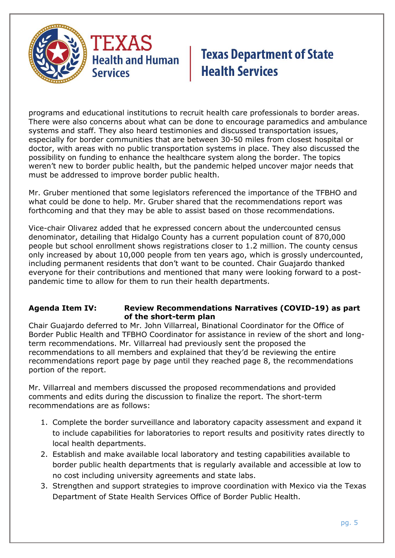

programs and educational institutions to recruit health care professionals to border areas. There were also concerns about what can be done to encourage paramedics and ambulance systems and staff. They also heard testimonies and discussed transportation issues, especially for border communities that are between 30-50 miles from closest hospital or doctor, with areas with no public transportation systems in place. They also discussed the possibility on funding to enhance the healthcare system along the border. The topics weren't new to border public health, but the pandemic helped uncover major needs that must be addressed to improve border public health.

Mr. Gruber mentioned that some legislators referenced the importance of the TFBHO and what could be done to help. Mr. Gruber shared that the recommendations report was forthcoming and that they may be able to assist based on those recommendations.

Vice-chair Olivarez added that he expressed concern about the undercounted census denominator, detailing that Hidalgo County has a current population count of 870,000 people but school enrollment shows registrations closer to 1.2 million. The county census only increased by about 10,000 people from ten years ago, which is grossly undercounted, including permanent residents that don't want to be counted. Chair Guajardo thanked everyone for their contributions and mentioned that many were looking forward to a postpandemic time to allow for them to run their health departments.

#### **Agenda Item IV: Review Recommendations Narratives (COVID-19) as part of the short-term plan**

Chair Guajardo deferred to Mr. John Villarreal, Binational Coordinator for the Office of Border Public Health and TFBHO Coordinator for assistance in review of the short and longterm recommendations. Mr. Villarreal had previously sent the proposed the recommendations to all members and explained that they'd be reviewing the entire recommendations report page by page until they reached page 8, the recommendations portion of the report.

Mr. Villarreal and members discussed the proposed recommendations and provided comments and edits during the discussion to finalize the report. The short-term recommendations are as follows:

- 1. Complete the border surveillance and laboratory capacity assessment and expand it to include capabilities for laboratories to report results and positivity rates directly to local health departments.
- 2. Establish and make available local laboratory and testing capabilities available to border public health departments that is regularly available and accessible at low to no cost including university agreements and state labs.
- 3. Strengthen and support strategies to improve coordination with Mexico via the Texas Department of State Health Services Office of Border Public Health.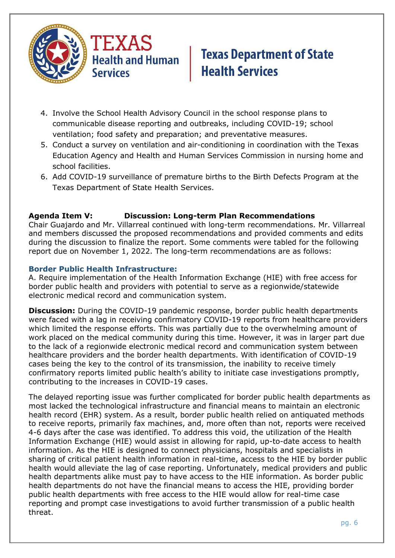

- 4. Involve the School Health Advisory Council in the school response plans to communicable disease reporting and outbreaks, including COVID-19; school ventilation; food safety and preparation; and preventative measures.
- 5. Conduct a survey on ventilation and air-conditioning in coordination with the Texas Education Agency and Health and Human Services Commission in nursing home and school facilities.
- 6. Add COVID-19 surveillance of premature births to the Birth Defects Program at the Texas Department of State Health Services.

### **Agenda Item V: Discussion: Long-term Plan Recommendations**

Chair Guajardo and Mr. Villarreal continued with long-term recommendations. Mr. Villarreal and members discussed the proposed recommendations and provided comments and edits during the discussion to finalize the report. Some comments were tabled for the following report due on November 1, 2022. The long-term recommendations are as follows:

#### **Border Public Health Infrastructure:**

A. Require implementation of the Health Information Exchange (HIE) with free access for border public health and providers with potential to serve as a regionwide/statewide electronic medical record and communication system.

**Discussion:** During the COVID-19 pandemic response, border public health departments were faced with a lag in receiving confirmatory COVID-19 reports from healthcare providers which limited the response efforts. This was partially due to the overwhelming amount of work placed on the medical community during this time. However, it was in larger part due to the lack of a regionwide electronic medical record and communication system between healthcare providers and the border health departments. With identification of COVID-19 cases being the key to the control of its transmission, the inability to receive timely confirmatory reports limited public health's ability to initiate case investigations promptly, contributing to the increases in COVID-19 cases.

The delayed reporting issue was further complicated for border public health departments as most lacked the technological infrastructure and financial means to maintain an electronic health record (EHR) system. As a result, border public health relied on antiquated methods to receive reports, primarily fax machines, and, more often than not, reports were received 4-6 days after the case was identified. To address this void, the utilization of the Health Information Exchange (HIE) would assist in allowing for rapid, up-to-date access to health information. As the HIE is designed to connect physicians, hospitals and specialists in sharing of critical patient health information in real-time, access to the HIE by border public health would alleviate the lag of case reporting. Unfortunately, medical providers and public health departments alike must pay to have access to the HIE information. As border public health departments do not have the financial means to access the HIE, providing border public health departments with free access to the HIE would allow for real-time case reporting and prompt case investigations to avoid further transmission of a public health threat.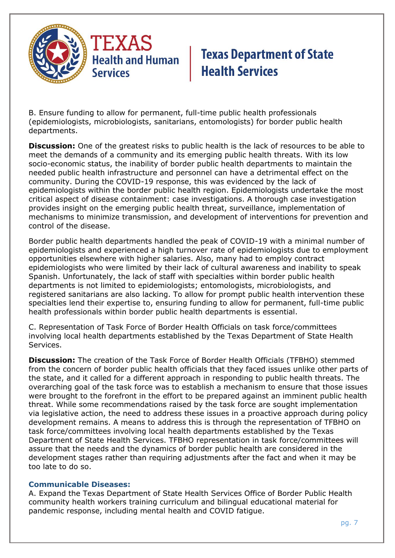

B. Ensure funding to allow for permanent, full-time public health professionals (epidemiologists, microbiologists, sanitarians, entomologists) for border public health departments.

**Discussion:** One of the greatest risks to public health is the lack of resources to be able to meet the demands of a community and its emerging public health threats. With its low socio-economic status, the inability of border public health departments to maintain the needed public health infrastructure and personnel can have a detrimental effect on the community. During the COVID-19 response, this was evidenced by the lack of epidemiologists within the border public health region. Epidemiologists undertake the most critical aspect of disease containment: case investigations. A thorough case investigation provides insight on the emerging public health threat, surveillance, implementation of mechanisms to minimize transmission, and development of interventions for prevention and control of the disease.

Border public health departments handled the peak of COVID-19 with a minimal number of epidemiologists and experienced a high turnover rate of epidemiologists due to employment opportunities elsewhere with higher salaries. Also, many had to employ contract epidemiologists who were limited by their lack of cultural awareness and inability to speak Spanish. Unfortunately, the lack of staff with specialties within border public health departments is not limited to epidemiologists; entomologists, microbiologists, and registered sanitarians are also lacking. To allow for prompt public health intervention these specialties lend their expertise to, ensuring funding to allow for permanent, full-time public health professionals within border public health departments is essential.

C. Representation of Task Force of Border Health Officials on task force/committees involving local health departments established by the Texas Department of State Health Services.

**Discussion:** The creation of the Task Force of Border Health Officials (TFBHO) stemmed from the concern of border public health officials that they faced issues unlike other parts of the state, and it called for a different approach in responding to public health threats. The overarching goal of the task force was to establish a mechanism to ensure that those issues were brought to the forefront in the effort to be prepared against an imminent public health threat. While some recommendations raised by the task force are sought implementation via legislative action, the need to address these issues in a proactive approach during policy development remains. A means to address this is through the representation of TFBHO on task force/committees involving local health departments established by the Texas Department of State Health Services. TFBHO representation in task force/committees will assure that the needs and the dynamics of border public health are considered in the development stages rather than requiring adjustments after the fact and when it may be too late to do so.

#### **Communicable Diseases:**

A. Expand the Texas Department of State Health Services Office of Border Public Health community health workers training curriculum and bilingual educational material for pandemic response, including mental health and COVID fatigue.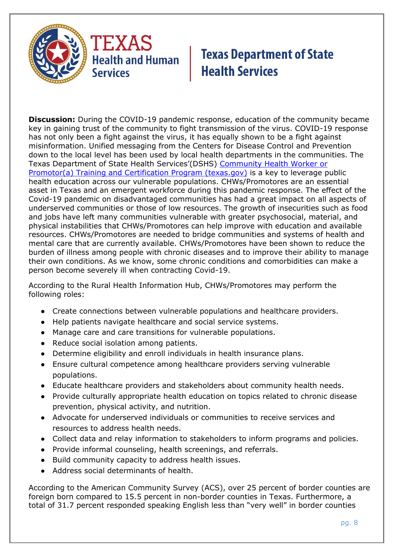

**Discussion:** During the COVID-19 pandemic response, education of the community became key in gaining trust of the community to fight transmission of the virus. COVID-19 response has not only been a fight against the virus, it has equally shown to be a fight against misinformation. Unified messaging from the Centers for Disease Control and Prevention down to the local level has been used by local health departments in the communities. The Texas Department of State Health Services'(DSHS) [Community Health Worker or](https://www.dshs.texas.gov/mch/chw/Community-Health-Workers_Program.aspx)  [Promotor\(a\) Training and Certification Program \(texas.gov\)](https://www.dshs.texas.gov/mch/chw/Community-Health-Workers_Program.aspx) is a key to leverage public health education across our vulnerable populations. CHWs/Promotores are an essential asset in Texas and an emergent workforce during this pandemic response. The effect of the Covid-19 pandemic on disadvantaged communities has had a great impact on all aspects of underserved communities or those of low resources. The growth of insecurities such as food and jobs have left many communities vulnerable with greater psychosocial, material, and physical instabilities that CHWs/Promotores can help improve with education and available resources. CHWs/Promotores are needed to bridge communities and systems of health and mental care that are currently available. CHWs/Promotores have been shown to reduce the burden of illness among people with chronic diseases and to improve their ability to manage their own conditions. As we know, some chronic conditions and comorbidities can make a person become severely ill when contracting Covid-19.

According to the Rural Health Information Hub, CHWs/Promotores may perform the following roles:

- Create connections between vulnerable populations and healthcare providers.
- Help patients navigate healthcare and social service systems.
- Manage care and care transitions for vulnerable populations.
- Reduce social isolation among patients.
- Determine eligibility and enroll individuals in health insurance plans.
- Ensure cultural competence among healthcare providers serving vulnerable populations.
- Educate healthcare providers and stakeholders about community health needs.
- Provide culturally appropriate health education on topics related to chronic disease prevention, physical activity, and nutrition.
- Advocate for underserved individuals or communities to receive services and resources to address health needs.
- Collect data and relay information to stakeholders to inform programs and policies.
- Provide informal counseling, health screenings, and referrals.
- Build community capacity to address health issues.
- Address social determinants of health.

According to the American Community Survey (ACS), over 25 percent of border counties are foreign born compared to 15.5 percent in non-border counties in Texas. Furthermore, a total of 31.7 percent responded speaking English less than "very well" in border counties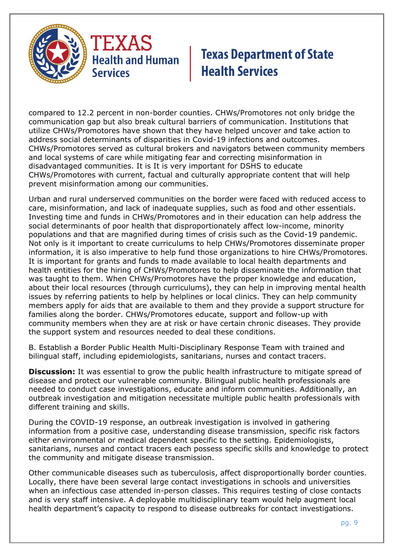

compared to 12.2 percent in non-border counties. CHWs/Promotores not only bridge the communication gap but also break cultural barriers of communication. Institutions that utilize CHWs/Promotores have shown that they have helped uncover and take action to address social determinants of disparities in Covid-19 infections and outcomes. CHWs/Promotores served as cultural brokers and navigators between community members and local systems of care while mitigating fear and correcting misinformation in disadvantaged communities. It is It is very important for DSHS to educate CHWs/Promotores with current, factual and culturally appropriate content that will help prevent misinformation among our communities.

Urban and rural underserved communities on the border were faced with reduced access to care, misinformation, and lack of inadequate supplies, such as food and other essentials. Investing time and funds in CHWs/Promotores and in their education can help address the social determinants of poor health that disproportionately affect low-income, minority populations and that are magnified during times of crisis such as the Covid-19 pandemic. Not only is it important to create curriculums to help CHWs/Promotores disseminate proper information, it is also imperative to help fund those organizations to hire CHWs/Promotores. It is important for grants and funds to made available to local health departments and health entities for the hiring of CHWs/Promotores to help disseminate the information that was taught to them. When CHWs/Promotores have the proper knowledge and education, about their local resources (through curriculums), they can help in improving mental health issues by referring patients to help by helplines or local clinics. They can help community members apply for aids that are available to them and they provide a support structure for families along the border. CHWs/Promotores educate, support and follow-up with community members when they are at risk or have certain chronic diseases. They provide the support system and resources needed to deal these conditions.

B. Establish a Border Public Health Multi-Disciplinary Response Team with trained and bilingual staff, including epidemiologists, sanitarians, nurses and contact tracers.

**Discussion:** It was essential to grow the public health infrastructure to mitigate spread of disease and protect our vulnerable community. Bilingual public health professionals are needed to conduct case investigations, educate and inform communities. Additionally, an outbreak investigation and mitigation necessitate multiple public health professionals with different training and skills.

During the COVID-19 response, an outbreak investigation is involved in gathering information from a positive case, understanding disease transmission, specific risk factors either environmental or medical dependent specific to the setting. Epidemiologists, sanitarians, nurses and contact tracers each possess specific skills and knowledge to protect the community and mitigate disease transmission.

Other communicable diseases such as tuberculosis, affect disproportionally border counties. Locally, there have been several large contact investigations in schools and universities when an infectious case attended in-person classes. This requires testing of close contacts and is very staff intensive. A deployable multidisciplinary team would help augment local health department's capacity to respond to disease outbreaks for contact investigations.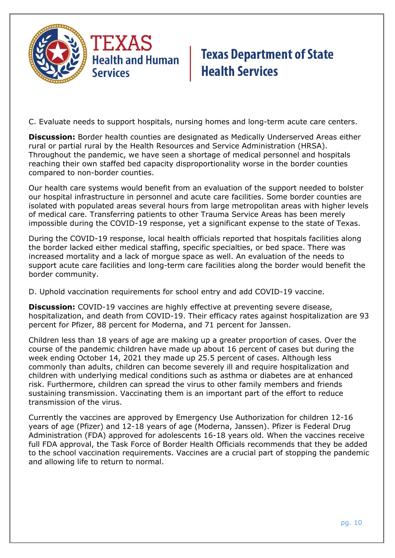

C. Evaluate needs to support hospitals, nursing homes and long-term acute care centers.

**Discussion:** Border health counties are designated as Medically Underserved Areas either rural or partial rural by the Health Resources and Service Administration (HRSA). Throughout the pandemic, we have seen a shortage of medical personnel and hospitals reaching their own staffed bed capacity disproportionality worse in the border counties compared to non-border counties.

Our health care systems would benefit from an evaluation of the support needed to bolster our hospital infrastructure in personnel and acute care facilities. Some border counties are isolated with populated areas several hours from large metropolitan areas with higher levels of medical care. Transferring patients to other Trauma Service Areas has been merely impossible during the COVID-19 response, yet a significant expense to the state of Texas.

During the COVID-19 response, local health officials reported that hospitals facilities along the border lacked either medical staffing, specific specialties, or bed space. There was increased mortality and a lack of morgue space as well. An evaluation of the needs to support acute care facilities and long-term care facilities along the border would benefit the border community.

D. Uphold vaccination requirements for school entry and add COVID-19 vaccine.

**Discussion:** COVID-19 vaccines are highly effective at preventing severe disease, hospitalization, and death from COVID-19. Their efficacy rates against hospitalization are 93 percent for Pfizer, 88 percent for Moderna, and 71 percent for Janssen.

Children less than 18 years of age are making up a greater proportion of cases. Over the course of the pandemic children have made up about 16 percent of cases but during the week ending October 14, 2021 they made up 25.5 percent of cases. Although less commonly than adults, children can become severely ill and require hospitalization and children with underlying medical conditions such as asthma or diabetes are at enhanced risk. Furthermore, children can spread the virus to other family members and friends sustaining transmission. Vaccinating them is an important part of the effort to reduce transmission of the virus.

Currently the vaccines are approved by Emergency Use Authorization for children 12-16 years of age (Pfizer) and 12-18 years of age (Moderna, Janssen). Pfizer is Federal Drug Administration (FDA) approved for adolescents 16-18 years old. When the vaccines receive full FDA approval, the Task Force of Border Health Officials recommends that they be added to the school vaccination requirements. Vaccines are a crucial part of stopping the pandemic and allowing life to return to normal.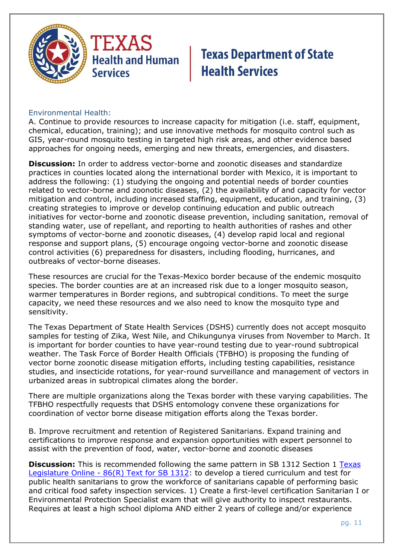

#### Environmental Health:

A. Continue to provide resources to increase capacity for mitigation (i.e. staff, equipment, chemical, education, training); and use innovative methods for mosquito control such as GIS, year-round mosquito testing in targeted high risk areas, and other evidence based approaches for ongoing needs, emerging and new threats, emergencies, and disasters.

**Discussion:** In order to address vector-borne and zoonotic diseases and standardize practices in counties located along the international border with Mexico, it is important to address the following: (1) studying the ongoing and potential needs of border counties related to vector-borne and zoonotic diseases, (2) the availability of and capacity for vector mitigation and control, including increased staffing, equipment, education, and training, (3) creating strategies to improve or develop continuing education and public outreach initiatives for vector-borne and zoonotic disease prevention, including sanitation, removal of standing water, use of repellant, and reporting to health authorities of rashes and other symptoms of vector-borne and zoonotic diseases, (4) develop rapid local and regional response and support plans, (5) encourage ongoing vector-borne and zoonotic disease control activities (6) preparedness for disasters, including flooding, hurricanes, and outbreaks of vector-borne diseases.

These resources are crucial for the Texas-Mexico border because of the endemic mosquito species. The border counties are at an increased risk due to a longer mosquito season, warmer temperatures in Border regions, and subtropical conditions. To meet the surge capacity, we need these resources and we also need to know the mosquito type and sensitivity.

The Texas Department of State Health Services (DSHS) currently does not accept mosquito samples for testing of Zika, West Nile, and Chikungunya viruses from November to March. It is important for border counties to have year-round testing due to year-round subtropical weather. The Task Force of Border Health Officials (TFBHO) is proposing the funding of vector borne zoonotic disease mitigation efforts, including testing capabilities, resistance studies, and insecticide rotations, for year-round surveillance and management of vectors in urbanized areas in subtropical climates along the border.

There are multiple organizations along the Texas border with these varying capabilities. The TFBHO respectfully requests that DSHS entomology convene these organizations for coordination of vector borne disease mitigation efforts along the Texas border.

B. Improve recruitment and retention of Registered Sanitarians. Expand training and certifications to improve response and expansion opportunities with expert personnel to assist with the prevention of food, water, vector-borne and zoonotic diseases

**Discussion:** This is recommended following the same pattern in SB 1312 Section 1 Texas Legislature Online - [86\(R\) Text for SB 1312:](https://capitol.texas.gov/BillLookup/Text.aspx?LegSess=86R&Bill=SB1312) to develop a tiered curriculum and test for public health sanitarians to grow the workforce of sanitarians capable of performing basic and critical food safety inspection services. 1) Create a first-level certification Sanitarian I or Environmental Protection Specialist exam that will give authority to inspect restaurants. Requires at least a high school diploma AND either 2 years of college and/or experience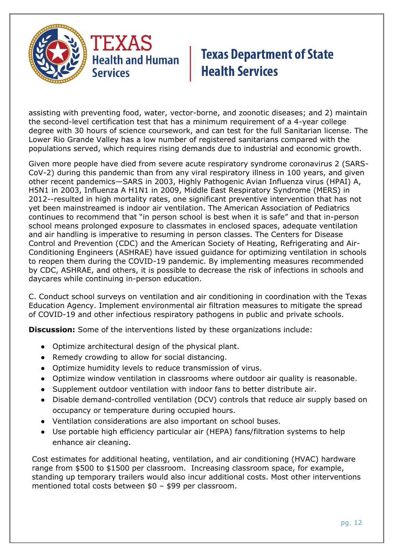

assisting with preventing food, water, vector-borne, and zoonotic diseases; and 2) maintain the second-level certification test that has a minimum requirement of a 4-year college degree with 30 hours of science coursework, and can test for the full Sanitarian license. The Lower Rio Grande Valley has a low number of registered sanitarians compared with the populations served, which requires rising demands due to industrial and economic growth.

Given more people have died from severe acute respiratory syndrome coronavirus 2 (SARS-CoV-2) during this pandemic than from any viral respiratory illness in 100 years, and given other recent pandemics—SARS in 2003, Highly Pathogenic Avian Influenza virus (HPAI) A, H5N1 in 2003, Influenza A H1N1 in 2009, Middle East Respiratory Syndrome (MERS) in 2012--resulted in high mortality rates, one significant preventive intervention that has not yet been mainstreamed is indoor air ventilation. The American Association of Pediatrics continues to recommend that "in person school is best when it is safe" and that in-person school means prolonged exposure to classmates in enclosed spaces, adequate ventilation and air handling is imperative to resuming in person classes. The Centers for Disease Control and Prevention (CDC) and the American Society of Heating, Refrigerating and Air-Conditioning Engineers (ASHRAE) have issued guidance for optimizing ventilation in schools to reopen them during the COVID-19 pandemic. By implementing measures recommended by CDC, ASHRAE, and others, it is possible to decrease the risk of infections in schools and daycares while continuing in-person education.

C. Conduct school surveys on ventilation and air conditioning in coordination with the Texas Education Agency. Implement environmental air filtration measures to mitigate the spread of COVID-19 and other infectious respiratory pathogens in public and private schools.

**Discussion:** Some of the interventions listed by these organizations include:

- Optimize architectural design of the physical plant.
- Remedy crowding to allow for social distancing.
- Optimize humidity levels to reduce transmission of virus.
- Optimize window ventilation in classrooms where outdoor air quality is reasonable.
- Supplement outdoor ventilation with indoor fans to better distribute air.
- Disable demand-controlled ventilation (DCV) controls that reduce air supply based on occupancy or temperature during occupied hours.
- Ventilation considerations are also important on school buses.
- Use portable high efficiency particular air (HEPA) fans/filtration systems to help enhance air cleaning.

Cost estimates for additional heating, ventilation, and air conditioning (HVAC) hardware range from \$500 to \$1500 per classroom. Increasing classroom space, for example, standing up temporary trailers would also incur additional costs. Most other interventions mentioned total costs between \$0 – \$99 per classroom.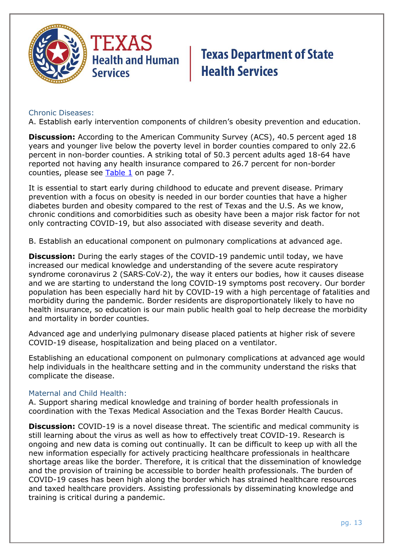

#### Chronic Diseases:

A. Establish early intervention components of children's obesity prevention and education.

**Discussion:** According to the American Community Survey (ACS), 40.5 percent aged 18 years and younger live below the poverty level in border counties compared to only 22.6 percent in non-border counties. A striking total of 50.3 percent adults aged 18-64 have reported not having any health insurance compared to 26.7 percent for non-border counties, please see Table 1 on page 7.

It is essential to start early during childhood to educate and prevent disease. Primary prevention with a focus on obesity is needed in our border counties that have a higher diabetes burden and obesity compared to the rest of Texas and the U.S. As we know, chronic conditions and comorbidities such as obesity have been a major risk factor for not only contracting COVID-19, but also associated with disease severity and death.

B. Establish an educational component on pulmonary complications at advanced age.

**Discussion:** During the early stages of the COVID-19 pandemic until today, we have increased our medical knowledge and understanding of the severe acute respiratory syndrome coronavirus 2 (SARS‑CoV‑2), the way it enters our bodies, how it causes disease and we are starting to understand the long COVID-19 symptoms post recovery. Our border population has been especially hard hit by COVID-19 with a high percentage of fatalities and morbidity during the pandemic. Border residents are disproportionately likely to have no health insurance, so education is our main public health goal to help decrease the morbidity and mortality in border counties.

Advanced age and underlying pulmonary disease placed patients at higher risk of severe COVID-19 disease, hospitalization and being placed on a ventilator.

Establishing an educational component on pulmonary complications at advanced age would help individuals in the healthcare setting and in the community understand the risks that complicate the disease.

#### Maternal and Child Health:

A. Support sharing medical knowledge and training of border health professionals in coordination with the Texas Medical Association and the Texas Border Health Caucus.

**Discussion:** COVID-19 is a novel disease threat. The scientific and medical community is still learning about the virus as well as how to effectively treat COVID-19. Research is ongoing and new data is coming out continually. It can be difficult to keep up with all the new information especially for actively practicing healthcare professionals in healthcare shortage areas like the border. Therefore, it is critical that the dissemination of knowledge and the provision of training be accessible to border health professionals. The burden of COVID-19 cases has been high along the border which has strained healthcare resources and taxed healthcare providers. Assisting professionals by disseminating knowledge and training is critical during a pandemic.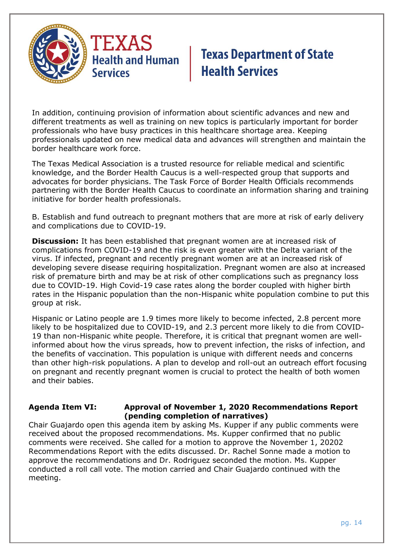

In addition, continuing provision of information about scientific advances and new and different treatments as well as training on new topics is particularly important for border professionals who have busy practices in this healthcare shortage area. Keeping professionals updated on new medical data and advances will strengthen and maintain the border healthcare work force.

The Texas Medical Association is a trusted resource for reliable medical and scientific knowledge, and the Border Health Caucus is a well-respected group that supports and advocates for border physicians. The Task Force of Border Health Officials recommends partnering with the Border Health Caucus to coordinate an information sharing and training initiative for border health professionals.

B. Establish and fund outreach to pregnant mothers that are more at risk of early delivery and complications due to COVID-19.

**Discussion:** It has been established that pregnant women are at increased risk of complications from COVID-19 and the risk is even greater with the Delta variant of the virus. If infected, pregnant and recently pregnant women are at an increased risk of developing severe disease requiring hospitalization. Pregnant women are also at increased risk of premature birth and may be at risk of other complications such as pregnancy loss due to COVID-19. High Covid-19 case rates along the border coupled with higher birth rates in the Hispanic population than the non-Hispanic white population combine to put this group at risk.

Hispanic or Latino people are 1.9 times more likely to become infected, 2.8 percent more likely to be hospitalized due to COVID-19, and 2.3 percent more likely to die from COVID-19 than non-Hispanic white people. Therefore, it is critical that pregnant women are wellinformed about how the virus spreads, how to prevent infection, the risks of infection, and the benefits of vaccination. This population is unique with different needs and concerns than other high-risk populations. A plan to develop and roll-out an outreach effort focusing on pregnant and recently pregnant women is crucial to protect the health of both women and their babies.

#### **Agenda Item VI: Approval of November 1, 2020 Recommendations Report (pending completion of narratives)**

Chair Guajardo open this agenda item by asking Ms. Kupper if any public comments were received about the proposed recommendations. Ms. Kupper confirmed that no public comments were received. She called for a motion to approve the November 1, 20202 Recommendations Report with the edits discussed. Dr. Rachel Sonne made a motion to approve the recommendations and Dr. Rodriguez seconded the motion. Ms. Kupper conducted a roll call vote. The motion carried and Chair Guajardo continued with the meeting.